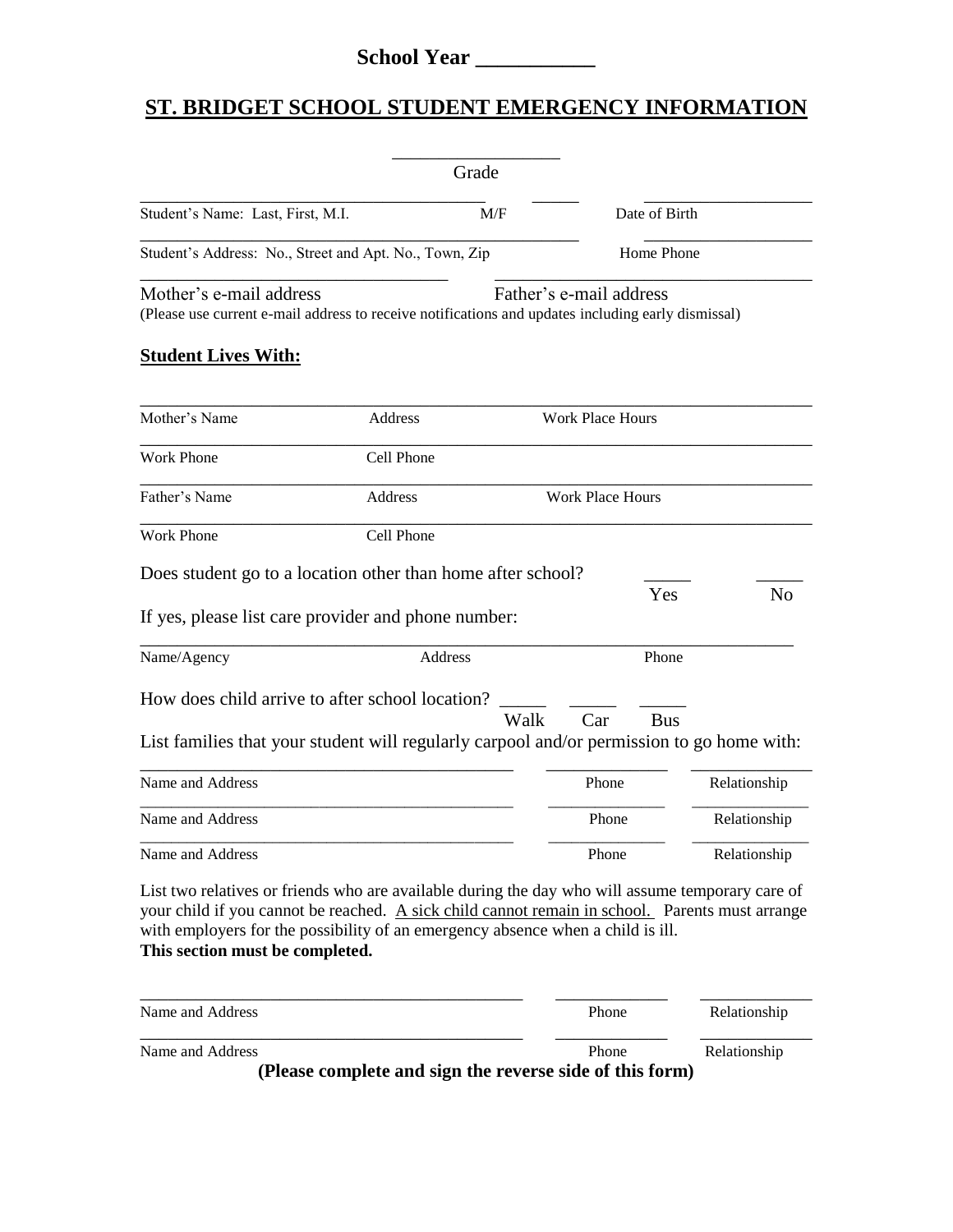## **School Year \_\_\_\_\_\_\_\_\_\_\_**

## **ST. BRIDGET SCHOOL STUDENT EMERGENCY INFORMATION**

|                                                                                                                                                                                                                                                                                                                           | Grade      |                         |                            |                              |  |
|---------------------------------------------------------------------------------------------------------------------------------------------------------------------------------------------------------------------------------------------------------------------------------------------------------------------------|------------|-------------------------|----------------------------|------------------------------|--|
| Student's Name: Last, First, M.I.                                                                                                                                                                                                                                                                                         | M/F        |                         | Date of Birth              |                              |  |
| Student's Address: No., Street and Apt. No., Town, Zip                                                                                                                                                                                                                                                                    |            |                         | Home Phone                 |                              |  |
| Mother's e-mail address<br>(Please use current e-mail address to receive notifications and updates including early dismissal)<br><b>Student Lives With:</b>                                                                                                                                                               |            | Father's e-mail address |                            |                              |  |
| Mother's Name                                                                                                                                                                                                                                                                                                             | Address    | <b>Work Place Hours</b> |                            |                              |  |
| <b>Work Phone</b>                                                                                                                                                                                                                                                                                                         | Cell Phone |                         |                            |                              |  |
| Father's Name                                                                                                                                                                                                                                                                                                             | Address    |                         | <b>Work Place Hours</b>    |                              |  |
| Work Phone                                                                                                                                                                                                                                                                                                                | Cell Phone |                         |                            |                              |  |
| Does student go to a location other than home after school?<br>If yes, please list care provider and phone number:<br>Name/Agency<br>How does child arrive to after school location?<br>List families that your student will regularly carpool and/or permission to go home with:                                         | Address    | Walk<br>Car             | Yes<br>Phone<br><b>Bus</b> | N <sub>0</sub>               |  |
| Name and Address                                                                                                                                                                                                                                                                                                          |            | Phone                   |                            |                              |  |
| Name and Address                                                                                                                                                                                                                                                                                                          |            | Phone                   |                            | Relationship<br>Relationship |  |
| Name and Address                                                                                                                                                                                                                                                                                                          |            | Phone                   |                            | Relationship                 |  |
| List two relatives or friends who are available during the day who will assume temporary care of<br>your child if you cannot be reached. A sick child cannot remain in school. Parents must arrange<br>with employers for the possibility of an emergency absence when a child is ill.<br>This section must be completed. |            |                         |                            |                              |  |
| Name and Address                                                                                                                                                                                                                                                                                                          |            | Phone                   |                            | Relationship                 |  |
| Name and Address                                                                                                                                                                                                                                                                                                          |            | Phone                   |                            | Relationship                 |  |

**(Please complete and sign the reverse side of this form)**